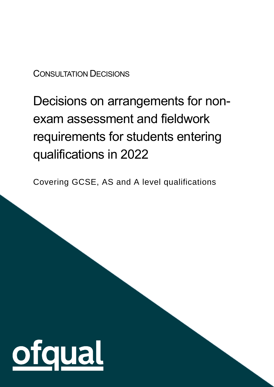# CONSULTATION DECISIONS

# Decisions on arrangements for nonexam assessment and fieldwork requirements for students entering qualifications in 2022

Covering GCSE, AS and A level qualifications

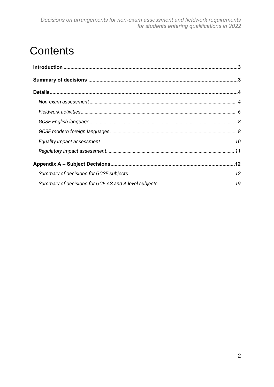# **Contents**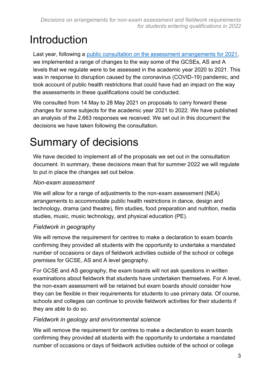# <span id="page-2-0"></span>Introduction

Last year, following a [public consultation on the assessment arrangements for 2021,](https://www.gov.uk/government/consultations/proposed-changes-to-the-assessment-of-gcses-as-and-a-levels-in-2021) we implemented a range of changes to the way some of the GCSEs, AS and A levels that we regulate were to be assessed in the academic year 2020 to 2021. This was in response to disruption caused by the coronavirus (COVID-19) pandemic, and took account of public health restrictions that could have had an impact on the way the assessments in these qualifications could be conducted.

We consulted from 14 May to 28 May 2021 on proposals to carry forward these changes for some subjects for the academic year 2021 to 2022. We have published an analysis of the 2,663 responses we received. We set out in this document the decisions we have taken following the consultation.

# <span id="page-2-1"></span>Summary of decisions

We have decided to implement all of the proposals we set out in the consultation document. In summary, these decisions mean that for summer 2022 we will regulate to put in place the changes set out below.

#### *Non-exam assessment*

We will allow for a range of adjustments to the non-exam assessment (NEA) arrangements to accommodate public health restrictions in dance, design and technology, drama (and theatre), film studies, food preparation and nutrition, media studies, music, music technology, and physical education (PE).

#### *Fieldwork in geography*

We will remove the requirement for centres to make a declaration to exam boards confirming they provided all students with the opportunity to undertake a mandated number of occasions or days of fieldwork activities outside of the school or college premises for GCSE, AS and A level geography.

For GCSE and AS geography, the exam boards will not ask questions in written examinations about fieldwork that students have undertaken themselves. For A level, the non-exam assessment will be retained but exam boards should consider how they can be flexible in their requirements for students to use primary data. Of course, schools and colleges can continue to provide fieldwork activities for their students if they are able to do so.

#### *Fieldwork in geology and environmental science*

We will remove the requirement for centres to make a declaration to exam boards confirming they provided all students with the opportunity to undertake a mandated number of occasions or days of fieldwork activities outside of the school or college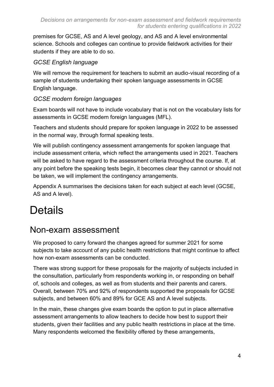premises for GCSE, AS and A level geology, and AS and A level environmental science. Schools and colleges can continue to provide fieldwork activities for their students if they are able to do so.

#### *GCSE English language*

We will remove the requirement for teachers to submit an audio-visual recording of a sample of students undertaking their spoken language assessments in GCSE English language.

#### *GCSE modern foreign languages*

Exam boards will not have to include vocabulary that is not on the vocabulary lists for assessments in GCSE modern foreign languages (MFL).

Teachers and students should prepare for spoken language in 2022 to be assessed in the normal way, through formal speaking tests.

We will publish contingency assessment arrangements for spoken language that include assessment criteria, which reflect the arrangements used in 2021. Teachers will be asked to have regard to the assessment criteria throughout the course. If, at any point before the speaking tests begin, it becomes clear they cannot or should not be taken, we will implement the contingency arrangements.

Appendix A summarises the decisions taken for each subject at each level (GCSE, AS and A level).

# <span id="page-3-0"></span>**Details**

# <span id="page-3-1"></span>Non-exam assessment

We proposed to carry forward the changes agreed for summer 2021 for some subjects to take account of any public health restrictions that might continue to affect how non-exam assessments can be conducted.

There was strong support for these proposals for the majority of subjects included in the consultation, particularly from respondents working in, or responding on behalf of, schools and colleges, as well as from students and their parents and carers. Overall, between 70% and 92% of respondents supported the proposals for GCSE subjects, and between 60% and 89% for GCE AS and A level subjects.

In the main, these changes give exam boards the option to put in place alternative assessment arrangements to allow teachers to decide how best to support their students, given their facilities and any public health restrictions in place at the time. Many respondents welcomed the flexibility offered by these arrangements,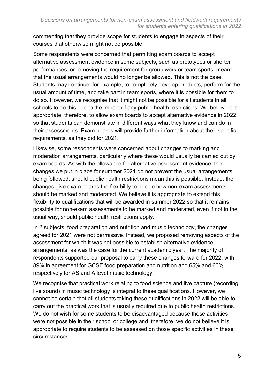commenting that they provide scope for students to engage in aspects of their courses that otherwise might not be possible.

Some respondents were concerned that permitting exam boards to accept alternative assessment evidence in some subjects, such as prototypes or shorter performances, or removing the requirement for group work or team sports, meant that the usual arrangements would no longer be allowed. This is not the case. Students may continue, for example, to completely develop products, perform for the usual amount of time, and take part in team sports, where it is possible for them to do so. However, we recognise that it might not be possible for all students in all schools to do this due to the impact of any public health restrictions. We believe it is appropriate, therefore, to allow exam boards to accept alternative evidence in 2022 so that students can demonstrate in different ways what they know and can do in their assessments. Exam boards will provide further information about their specific requirements, as they did for 2021.

Likewise, some respondents were concerned about changes to marking and moderation arrangements, particularly where these would usually be carried out by exam boards. As with the allowance for alternative assessment evidence, the changes we put in place for summer 2021 do not prevent the usual arrangements being followed, should public health restrictions mean this is possible. Instead, the changes give exam boards the flexibility to decide how non-exam assessments should be marked and moderated. We believe it is appropriate to extend this flexibility to qualifications that will be awarded in summer 2022 so that it remains possible for non-exam assessments to be marked and moderated, even if not in the usual way, should public health restrictions apply.

In 2 subjects, food preparation and nutrition and music technology, the changes agreed for 2021 were not permissive. Instead, we proposed removing aspects of the assessment for which it was not possible to establish alternative evidence arrangements, as was the case for the current academic year. The majority of respondents supported our proposal to carry these changes forward for 2022, with 89% in agreement for GCSE food preparation and nutrition and 65% and 60% respectively for AS and A level music technology.

We recognise that practical work relating to food science and live capture (recording live sound) in music technology is integral to these qualifications. However, we cannot be certain that all students taking these qualifications in 2022 will be able to carry out the practical work that is usually required due to public health restrictions. We do not wish for some students to be disadvantaged because those activities were not possible in their school or college and, therefore, we do not believe it is appropriate to require students to be assessed on those specific activities in these circumstances.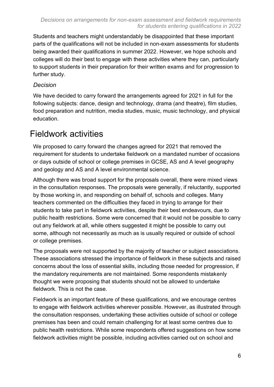Students and teachers might understandably be disappointed that these important parts of the qualifications will not be included in non-exam assessments for students being awarded their qualifications in summer 2022. However, we hope schools and colleges will do their best to engage with these activities where they can, particularly to support students in their preparation for their written exams and for progression to further study.

#### *Decision*

We have decided to carry forward the arrangements agreed for 2021 in full for the following subjects: dance, design and technology, drama (and theatre), film studies, food preparation and nutrition, media studies, music, music technology, and physical education.

# <span id="page-5-0"></span>Fieldwork activities

We proposed to carry forward the changes agreed for 2021 that removed the requirement for students to undertake fieldwork on a mandated number of occasions or days outside of school or college premises in GCSE, AS and A level geography and geology and AS and A level environmental science.

Although there was broad support for the proposals overall, there were mixed views in the consultation responses. The proposals were generally, if reluctantly, supported by those working in, and responding on behalf of, schools and colleges. Many teachers commented on the difficulties they faced in trying to arrange for their students to take part in fieldwork activities, despite their best endeavours, due to public health restrictions. Some were concerned that it would not be possible to carry out any fieldwork at all, while others suggested it might be possible to carry out some, although not necessarily as much as is usually required or outside of school or college premises.

The proposals were not supported by the majority of teacher or subject associations. These associations stressed the importance of fieldwork in these subjects and raised concerns about the loss of essential skills, including those needed for progression, if the mandatory requirements are not maintained. Some respondents mistakenly thought we were proposing that students should not be allowed to undertake fieldwork. This is not the case.

Fieldwork is an important feature of these qualifications, and we encourage centres to engage with fieldwork activities wherever possible. However, as illustrated through the consultation responses, undertaking these activities outside of school or college premises has been and could remain challenging for at least some centres due to public health restrictions. While some respondents offered suggestions on how some fieldwork activities might be possible, including activities carried out on school and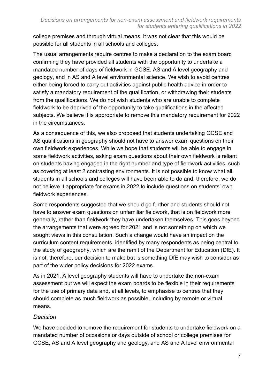college premises and through virtual means, it was not clear that this would be possible for all students in all schools and colleges.

The usual arrangements require centres to make a declaration to the exam board confirming they have provided all students with the opportunity to undertake a mandated number of days of fieldwork in GCSE, AS and A level geography and geology, and in AS and A level environmental science. We wish to avoid centres either being forced to carry out activities against public health advice in order to satisfy a mandatory requirement of the qualification, or withdrawing their students from the qualifications. We do not wish students who are unable to complete fieldwork to be deprived of the opportunity to take qualifications in the affected subjects. We believe it is appropriate to remove this mandatory requirement for 2022 in the circumstances.

As a consequence of this, we also proposed that students undertaking GCSE and AS qualifications in geography should not have to answer exam questions on their own fieldwork experiences. While we hope that students will be able to engage in some fieldwork activities, asking exam questions about their own fieldwork is reliant on students having engaged in the right number and type of fieldwork activities, such as covering at least 2 contrasting environments. It is not possible to know what all students in all schools and colleges will have been able to do and, therefore, we do not believe it appropriate for exams in 2022 to include questions on students' own fieldwork experiences.

Some respondents suggested that we should go further and students should not have to answer exam questions on unfamiliar fieldwork, that is on fieldwork more generally, rather than fieldwork they have undertaken themselves. This goes beyond the arrangements that were agreed for 2021 and is not something on which we sought views in this consultation. Such a change would have an impact on the curriculum content requirements, identified by many respondents as being central to the study of geography, which are the remit of the Department for Education (DfE). It is not, therefore, our decision to make but is something DfE may wish to consider as part of the wider policy decisions for 2022 exams.

As in 2021, A level geography students will have to undertake the non-exam assessment but we will expect the exam boards to be flexible in their requirements for the use of primary data and, at all levels, to emphasise to centres that they should complete as much fieldwork as possible, including by remote or virtual means.

#### *Decision*

We have decided to remove the requirement for students to undertake fieldwork on a mandated number of occasions or days outside of school or college premises for GCSE, AS and A level geography and geology, and AS and A level environmental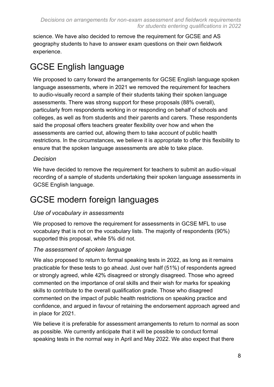science. We have also decided to remove the requirement for GCSE and AS geography students to have to answer exam questions on their own fieldwork experience.

# <span id="page-7-0"></span>GCSE English language

We proposed to carry forward the arrangements for GCSE English language spoken language assessments, where in 2021 we removed the requirement for teachers to audio-visually record a sample of their students taking their spoken language assessments. There was strong support for these proposals (88% overall), particularly from respondents working in or responding on behalf of schools and colleges, as well as from students and their parents and carers. These respondents said the proposal offers teachers greater flexibility over how and when the assessments are carried out, allowing them to take account of public health restrictions. In the circumstances, we believe it is appropriate to offer this flexibility to ensure that the spoken language assessments are able to take place.

#### *Decision*

We have decided to remove the requirement for teachers to submit an audio-visual recording of a sample of students undertaking their spoken language assessments in GCSE English language.

# <span id="page-7-1"></span>GCSE modern foreign languages

#### *Use of vocabulary in assessments*

We proposed to remove the requirement for assessments in GCSE MFL to use vocabulary that is not on the vocabulary lists. The majority of respondents (90%) supported this proposal, while 5% did not.

#### *The assessment of spoken language*

We also proposed to return to formal speaking tests in 2022, as long as it remains practicable for these tests to go ahead. Just over half (51%) of respondents agreed or strongly agreed, while 42% disagreed or strongly disagreed. Those who agreed commented on the importance of oral skills and their wish for marks for speaking skills to contribute to the overall qualification grade. Those who disagreed commented on the impact of public health restrictions on speaking practice and confidence, and argued in favour of retaining the endorsement approach agreed and in place for 2021.

We believe it is preferable for assessment arrangements to return to normal as soon as possible. We currently anticipate that it will be possible to conduct formal speaking tests in the normal way in April and May 2022. We also expect that there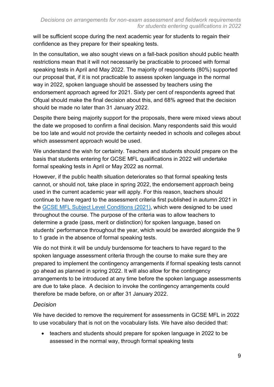will be sufficient scope during the next academic year for students to regain their confidence as they prepare for their speaking tests.

In the consultation, we also sought views on a fall-back position should public health restrictions mean that it will not necessarily be practicable to proceed with formal speaking tests in April and May 2022. The majority of respondents (80%) supported our proposal that, if it is not practicable to assess spoken language in the normal way in 2022, spoken language should be assessed by teachers using the endorsement approach agreed for 2021. Sixty per cent of respondents agreed that Ofqual should make the final decision about this, and 68% agreed that the decision should be made no later than 31 January 2022.

Despite there being majority support for the proposals, there were mixed views about the date we proposed to confirm a final decision. Many respondents said this would be too late and would not provide the certainty needed in schools and colleges about which assessment approach would be used.

We understand the wish for certainty. Teachers and students should prepare on the basis that students entering for GCSE MFL qualifications in 2022 will undertake formal speaking tests in April or May 2022 as normal.

However, if the public health situation deteriorates so that formal speaking tests cannot, or should not, take place in spring 2022, the endorsement approach being used in the current academic year will apply. For this reason, teachers should continue to have regard to the assessment criteria first published in autumn 2021 in the [GCSE MFL Subject Level Conditions \(2021\),](https://assets.publishing.service.gov.uk/government/uploads/system/uploads/attachment_data/file/933254/GCSE_Subject_Level_Conditions_and_Requirements_for_Modern_Foreign_Languages_and_Certificate_Requirements__2021_.pdf) which were designed to be used throughout the course. The purpose of the criteria was to allow teachers to determine a grade (pass, merit or distinction) for spoken language, based on students' performance throughout the year, which would be awarded alongside the 9 to 1 grade in the absence of formal speaking tests.

We do not think it will be unduly burdensome for teachers to have regard to the spoken language assessment criteria through the course to make sure they are prepared to implement the contingency arrangements if formal speaking tests cannot go ahead as planned in spring 2022. It will also allow for the contingency arrangements to be introduced at any time before the spoken language assessments are due to take place. A decision to invoke the contingency arrangements could therefore be made before, on or after 31 January 2022.

#### *Decision*

We have decided to remove the requirement for assessments in GCSE MFL in 2022 to use vocabulary that is not on the vocabulary lists. We have also decided that:

• teachers and students should prepare for spoken language in 2022 to be assessed in the normal way, through formal speaking tests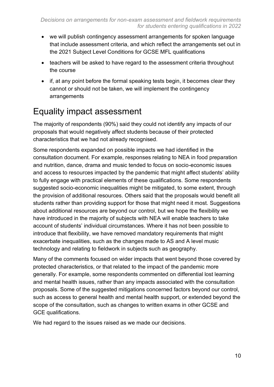- we will publish contingency assessment arrangements for spoken language that include assessment criteria, and which reflect the arrangements set out in the 2021 Subject Level Conditions for GCSE MFL qualifications
- teachers will be asked to have regard to the assessment criteria throughout the course
- if, at any point before the formal speaking tests begin, it becomes clear they cannot or should not be taken, we will implement the contingency arrangements

# <span id="page-9-0"></span>Equality impact assessment

The majority of respondents (90%) said they could not identify any impacts of our proposals that would negatively affect students because of their protected characteristics that we had not already recognised.

Some respondents expanded on possible impacts we had identified in the consultation document. For example, responses relating to NEA in food preparation and nutrition, dance, drama and music tended to focus on socio-economic issues and access to resources impacted by the pandemic that might affect students' ability to fully engage with practical elements of these qualifications. Some respondents suggested socio-economic inequalities might be mitigated, to some extent, through the provision of additional resources. Others said that the proposals would benefit all students rather than providing support for those that might need it most. Suggestions about additional resources are beyond our control, but we hope the flexibility we have introduced in the majority of subjects with NEA will enable teachers to take account of students' individual circumstances. Where it has not been possible to introduce that flexibility, we have removed mandatory requirements that might exacerbate inequalities, such as the changes made to AS and A level music technology and relating to fieldwork in subjects such as geography.

Many of the comments focused on wider impacts that went beyond those covered by protected characteristics, or that related to the impact of the pandemic more generally. For example, some respondents commented on differential lost learning and mental health issues, rather than any impacts associated with the consultation proposals. Some of the suggested mitigations concerned factors beyond our control, such as access to general health and mental health support, or extended beyond the scope of the consultation, such as changes to written exams in other GCSE and GCE qualifications.

We had regard to the issues raised as we made our decisions.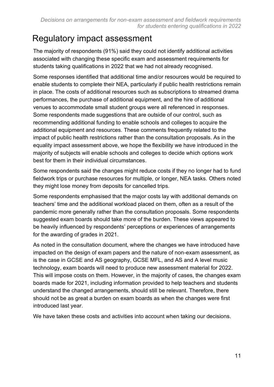# <span id="page-10-0"></span>Regulatory impact assessment

The majority of respondents (91%) said they could not identify additional activities associated with changing these specific exam and assessment requirements for students taking qualifications in 2022 that we had not already recognised.

Some responses identified that additional time and/or resources would be required to enable students to complete their NEA, particularly if public health restrictions remain in place. The costs of additional resources such as subscriptions to streamed drama performances, the purchase of additional equipment, and the hire of additional venues to accommodate small student groups were all referenced in responses. Some respondents made suggestions that are outside of our control, such as recommending additional funding to enable schools and colleges to acquire the additional equipment and resources. These comments frequently related to the impact of public health restrictions rather than the consultation proposals. As in the equality impact assessment above, we hope the flexibility we have introduced in the majority of subjects will enable schools and colleges to decide which options work best for them in their individual circumstances.

Some respondents said the changes might reduce costs if they no longer had to fund fieldwork trips or purchase resources for multiple, or longer, NEA tasks. Others noted they might lose money from deposits for cancelled trips.

Some respondents emphasised that the major costs lay with additional demands on teachers' time and the additional workload placed on them, often as a result of the pandemic more generally rather than the consultation proposals. Some respondents suggested exam boards should take more of the burden. These views appeared to be heavily influenced by respondents' perceptions or experiences of arrangements for the awarding of grades in 2021.

As noted in the consultation document, where the changes we have introduced have impacted on the design of exam papers and the nature of non-exam assessment, as is the case in GCSE and AS geography, GCSE MFL, and AS and A level music technology, exam boards will need to produce new assessment material for 2022. This will impose costs on them. However, in the majority of cases, the changes exam boards made for 2021, including information provided to help teachers and students understand the changed arrangements, should still be relevant. Therefore, there should not be as great a burden on exam boards as when the changes were first introduced last year.

We have taken these costs and activities into account when taking our decisions.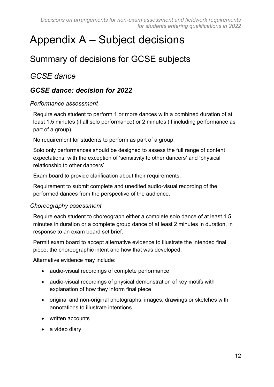# <span id="page-11-0"></span>Appendix A – Subject decisions

# <span id="page-11-1"></span>Summary of decisions for GCSE subjects

## *GCSE dance*

#### *GCSE dance: decision for 2022*

#### *Performance assessment*

Require each student to perform 1 or more dances with a combined duration of at least 1.5 minutes (if all solo performance) or 2 minutes (if including performance as part of a group).

No requirement for students to perform as part of a group.

Solo only performances should be designed to assess the full range of content expectations, with the exception of 'sensitivity to other dancers' and 'physical relationship to other dancers'.

Exam board to provide clarification about their requirements.

Requirement to submit complete and unedited audio-visual recording of the performed dances from the perspective of the audience.

#### *Choreography assessment*

Require each student to choreograph either a complete solo dance of at least 1.5 minutes in duration or a complete group dance of at least 2 minutes in duration, in response to an exam board set brief.

Permit exam board to accept alternative evidence to illustrate the intended final piece, the choreographic intent and how that was developed.

Alternative evidence may include:

- audio-visual recordings of complete performance
- audio-visual recordings of physical demonstration of key motifs with explanation of how they inform final piece
- original and non-original photographs, images, drawings or sketches with annotations to illustrate intentions
- written accounts
- a video diary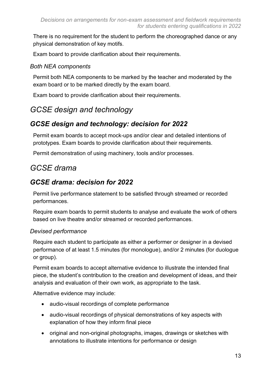There is no requirement for the student to perform the choreographed dance or any physical demonstration of key motifs.

Exam board to provide clarification about their requirements.

#### *Both NEA components*

Permit both NEA components to be marked by the teacher and moderated by the exam board or to be marked directly by the exam board.

Exam board to provide clarification about their requirements.

# *GCSE design and technology*

## *GCSE design and technology: decision for 2022*

Permit exam boards to accept mock-ups and/or clear and detailed intentions of prototypes. Exam boards to provide clarification about their requirements.

Permit demonstration of using machinery, tools and/or processes.

# *GCSE drama*

## *GCSE drama: decision for 2022*

Permit live performance statement to be satisfied through streamed or recorded performances.

Require exam boards to permit students to analyse and evaluate the work of others based on live theatre and/or streamed or recorded performances.

#### *Devised performance*

Require each student to participate as either a performer or designer in a devised performance of at least 1.5 minutes (for monologue), and/or 2 minutes (for duologue or group).

Permit exam boards to accept alternative evidence to illustrate the intended final piece, the student's contribution to the creation and development of ideas, and their analysis and evaluation of their own work, as appropriate to the task.

Alternative evidence may include:

- audio-visual recordings of complete performance
- audio-visual recordings of physical demonstrations of key aspects with explanation of how they inform final piece
- original and non-original photographs, images, drawings or sketches with annotations to illustrate intentions for performance or design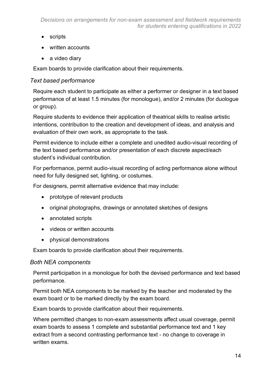- scripts
- written accounts
- a video diary

Exam boards to provide clarification about their requirements.

#### *Text based performance*

Require each student to participate as either a performer or designer in a text based performance of at least 1.5 minutes (for monologue), and/or 2 minutes (for duologue or group).

Require students to evidence their application of theatrical skills to realise artistic intentions, contribution to the creation and development of ideas, and analysis and evaluation of their own work, as appropriate to the task.

Permit evidence to include either a complete and unedited audio-visual recording of the text based performance and/or presentation of each discrete aspect/each student's individual contribution.

For performance, permit audio-visual recording of acting performance alone without need for fully designed set, lighting, or costumes.

For designers, permit alternative evidence that may include:

- prototype of relevant products
- original photographs, drawings or annotated sketches of designs
- annotated scripts
- videos or written accounts
- physical demonstrations

Exam boards to provide clarification about their requirements.

#### *Both NEA components*

Permit participation in a monologue for both the devised performance and text based performance.

Permit both NEA components to be marked by the teacher and moderated by the exam board or to be marked directly by the exam board.

Exam boards to provide clarification about their requirements.

Where permitted changes to non-exam assessments affect usual coverage, permit exam boards to assess 1 complete and substantial performance text and 1 key extract from a second contrasting performance text - no change to coverage in written exams.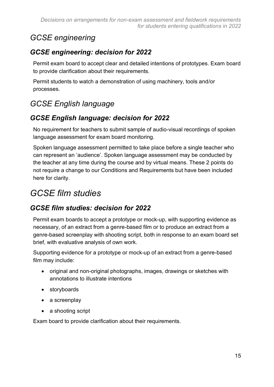# *GCSE engineering*

## *GCSE engineering: decision for 2022*

Permit exam board to accept clear and detailed intentions of prototypes. Exam board to provide clarification about their requirements.

Permit students to watch a demonstration of using machinery, tools and/or processes.

# *GCSE English language*

## *GCSE English language: decision for 2022*

No requirement for teachers to submit sample of audio-visual recordings of spoken language assessment for exam board monitoring.

Spoken language assessment permitted to take place before a single teacher who can represent an 'audience'. Spoken language assessment may be conducted by the teacher at any time during the course and by virtual means. These 2 points do not require a change to our Conditions and Requirements but have been included here for clarity.

# *GCSE film studies*

## *GCSE film studies: decision for 2022*

Permit exam boards to accept a prototype or mock-up, with supporting evidence as necessary, of an extract from a genre-based film or to produce an extract from a genre-based screenplay with shooting script, both in response to an exam board set brief, with evaluative analysis of own work.

Supporting evidence for a prototype or mock-up of an extract from a genre-based film may include:

- original and non-original photographs, images, drawings or sketches with annotations to illustrate intentions
- storyboards
- a screenplay
- a shooting script

Exam board to provide clarification about their requirements.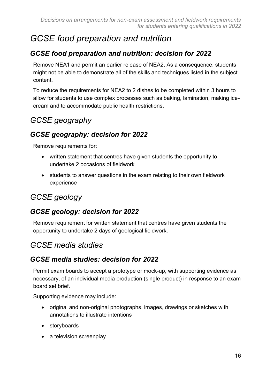# *GCSE food preparation and nutrition*

## *GCSE food preparation and nutrition: decision for 2022*

Remove NEA1 and permit an earlier release of NEA2. As a consequence, students might not be able to demonstrate all of the skills and techniques listed in the subject content.

To reduce the requirements for NEA2 to 2 dishes to be completed within 3 hours to allow for students to use complex processes such as baking, lamination, making icecream and to accommodate public health restrictions.

# *GCSE geography*

## *GCSE geography: decision for 2022*

Remove requirements for:

- written statement that centres have given students the opportunity to undertake 2 occasions of fieldwork
- students to answer questions in the exam relating to their own fieldwork experience

# *GCSE geology*

## *GCSE geology: decision for 2022*

Remove requirement for written statement that centres have given students the opportunity to undertake 2 days of geological fieldwork.

## *GCSE media studies*

#### *GCSE media studies: decision for 2022*

Permit exam boards to accept a prototype or mock-up, with supporting evidence as necessary, of an individual media production (single product) in response to an exam board set brief.

Supporting evidence may include:

- original and non-original photographs, images, drawings or sketches with annotations to illustrate intentions
- storyboards
- a television screenplay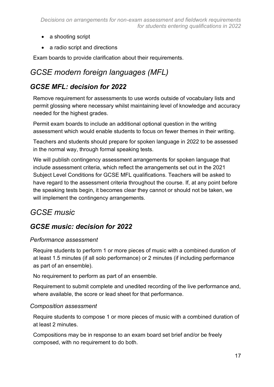- a shooting script
- a radio script and directions

Exam boards to provide clarification about their requirements.

# *GCSE modern foreign languages (MFL)*

#### *GCSE MFL: decision for 2022*

Remove requirement for assessments to use words outside of vocabulary lists and permit glossing where necessary whilst maintaining level of knowledge and accuracy needed for the highest grades.

Permit exam boards to include an additional optional question in the writing assessment which would enable students to focus on fewer themes in their writing.

Teachers and students should prepare for spoken language in 2022 to be assessed in the normal way, through formal speaking tests.

We will publish contingency assessment arrangements for spoken language that include assessment criteria, which reflect the arrangements set out in the 2021 Subject Level Conditions for GCSE MFL qualifications. Teachers will be asked to have regard to the assessment criteria throughout the course. If, at any point before the speaking tests begin, it becomes clear they cannot or should not be taken, we will implement the contingency arrangements.

# *GCSE music*

#### *GCSE music: decision for 2022*

#### *Performance assessment*

Require students to perform 1 or more pieces of music with a combined duration of at least 1.5 minutes (if all solo performance) or 2 minutes (if including performance as part of an ensemble).

No requirement to perform as part of an ensemble.

Requirement to submit complete and unedited recording of the live performance and, where available, the score or lead sheet for that performance.

#### *Composition assessment*

Require students to compose 1 or more pieces of music with a combined duration of at least 2 minutes.

Compositions may be in response to an exam board set brief and/or be freely composed, with no requirement to do both.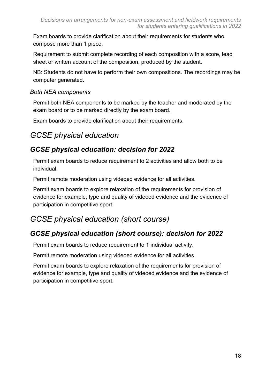Exam boards to provide clarification about their requirements for students who compose more than 1 piece.

Requirement to submit complete recording of each composition with a score, lead sheet or written account of the composition, produced by the student.

NB: Students do not have to perform their own compositions. The recordings may be computer generated.

#### *Both NEA components*

Permit both NEA components to be marked by the teacher and moderated by the exam board or to be marked directly by the exam board.

Exam boards to provide clarification about their requirements.

# *GCSE physical education*

## *GCSE physical education: decision for 2022*

Permit exam boards to reduce requirement to 2 activities and allow both to be individual.

Permit remote moderation using videoed evidence for all activities.

Permit exam boards to explore relaxation of the requirements for provision of evidence for example, type and quality of videoed evidence and the evidence of participation in competitive sport.

# *GCSE physical education (short course)*

## *GCSE physical education (short course): decision for 2022*

Permit exam boards to reduce requirement to 1 individual activity.

Permit remote moderation using videoed evidence for all activities.

Permit exam boards to explore relaxation of the requirements for provision of evidence for example, type and quality of videoed evidence and the evidence of participation in competitive sport.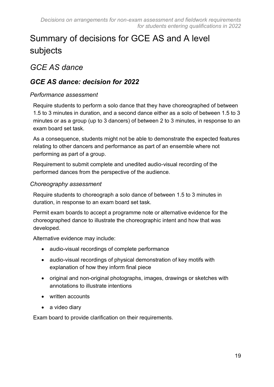# <span id="page-18-0"></span>Summary of decisions for GCE AS and A level subjects

# *GCE AS dance*

#### *GCE AS dance: decision for 2022*

#### *Performance assessment*

Require students to perform a solo dance that they have choreographed of between 1.5 to 3 minutes in duration, and a second dance either as a solo of between 1.5 to 3 minutes or as a group (up to 3 dancers) of between 2 to 3 minutes, in response to an exam board set task.

As a consequence, students might not be able to demonstrate the expected features relating to other dancers and performance as part of an ensemble where not performing as part of a group.

Requirement to submit complete and unedited audio-visual recording of the performed dances from the perspective of the audience.

#### *Choreography assessment*

Require students to choreograph a solo dance of between 1.5 to 3 minutes in duration, in response to an exam board set task.

Permit exam boards to accept a programme note or alternative evidence for the choreographed dance to illustrate the choreographic intent and how that was developed.

Alternative evidence may include:

- audio-visual recordings of complete performance
- audio-visual recordings of physical demonstration of key motifs with explanation of how they inform final piece
- original and non-original photographs, images, drawings or sketches with annotations to illustrate intentions
- written accounts
- a video diary

Exam board to provide clarification on their requirements.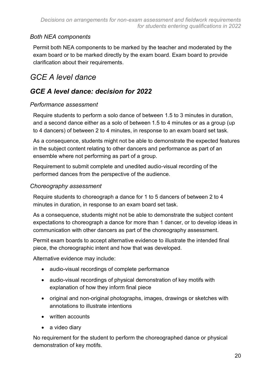#### *Both NEA components*

Permit both NEA components to be marked by the teacher and moderated by the exam board or to be marked directly by the exam board. Exam board to provide clarification about their requirements.

# *GCE A level dance*

## *GCE A level dance: decision for 2022*

#### *Performance assessment*

Require students to perform a solo dance of between 1.5 to 3 minutes in duration, and a second dance either as a solo of between 1.5 to 4 minutes or as a group (up to 4 dancers) of between 2 to 4 minutes, in response to an exam board set task.

As a consequence, students might not be able to demonstrate the expected features in the subject content relating to other dancers and performance as part of an ensemble where not performing as part of a group.

Requirement to submit complete and unedited audio-visual recording of the performed dances from the perspective of the audience.

#### *Choreography assessment*

Require students to choreograph a dance for 1 to 5 dancers of between 2 to 4 minutes in duration, in response to an exam board set task.

As a consequence, students might not be able to demonstrate the subject content expectations to choreograph a dance for more than 1 dancer, or to develop ideas in communication with other dancers as part of the choreography assessment.

Permit exam boards to accept alternative evidence to illustrate the intended final piece, the choreographic intent and how that was developed.

Alternative evidence may include:

- audio-visual recordings of complete performance
- audio-visual recordings of physical demonstration of key motifs with explanation of how they inform final piece
- original and non-original photographs, images, drawings or sketches with annotations to illustrate intentions
- written accounts
- a video diary

No requirement for the student to perform the choreographed dance or physical demonstration of key motifs.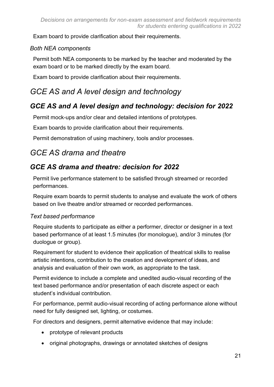Exam board to provide clarification about their requirements.

#### *Both NEA components*

Permit both NEA components to be marked by the teacher and moderated by the exam board or to be marked directly by the exam board.

Exam board to provide clarification about their requirements.

# *GCE AS and A level design and technology*

## *GCE AS and A level design and technology: decision for 2022*

Permit mock-ups and/or clear and detailed intentions of prototypes.

Exam boards to provide clarification about their requirements.

Permit demonstration of using machinery, tools and/or processes.

# *GCE AS drama and theatre*

## *GCE AS drama and theatre: decision for 2022*

Permit live performance statement to be satisfied through streamed or recorded performances.

Require exam boards to permit students to analyse and evaluate the work of others based on live theatre and/or streamed or recorded performances.

#### *Text based performance*

Require students to participate as either a performer, director or designer in a text based performance of at least 1.5 minutes (for monologue), and/or 3 minutes (for duologue or group).

Requirement for student to evidence their application of theatrical skills to realise artistic intentions, contribution to the creation and development of ideas, and analysis and evaluation of their own work, as appropriate to the task.

Permit evidence to include a complete and unedited audio-visual recording of the text based performance and/or presentation of each discrete aspect or each student's individual contribution.

For performance, permit audio-visual recording of acting performance alone without need for fully designed set, lighting, or costumes.

For directors and designers, permit alternative evidence that may include:

- prototype of relevant products
- original photographs, drawings or annotated sketches of designs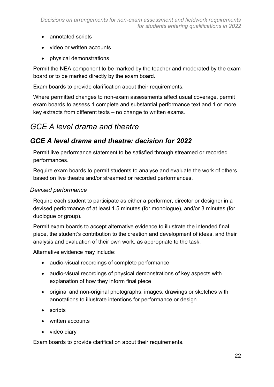- annotated scripts
- video or written accounts
- physical demonstrations

Permit the NEA component to be marked by the teacher and moderated by the exam board or to be marked directly by the exam board.

Exam boards to provide clarification about their requirements.

Where permitted changes to non-exam assessments affect usual coverage, permit exam boards to assess 1 complete and substantial performance text and 1 or more key extracts from different texts – no change to written exams.

## *GCE A level drama and theatre*

#### *GCE A level drama and theatre: decision for 2022*

Permit live performance statement to be satisfied through streamed or recorded performances.

Require exam boards to permit students to analyse and evaluate the work of others based on live theatre and/or streamed or recorded performances.

#### *Devised performance*

Require each student to participate as either a performer, director or designer in a devised performance of at least 1.5 minutes (for monologue), and/or 3 minutes (for duologue or group).

Permit exam boards to accept alternative evidence to illustrate the intended final piece, the student's contribution to the creation and development of ideas, and their analysis and evaluation of their own work, as appropriate to the task.

Alternative evidence may include:

- audio-visual recordings of complete performance
- audio-visual recordings of physical demonstrations of key aspects with explanation of how they inform final piece
- original and non-original photographs, images, drawings or sketches with annotations to illustrate intentions for performance or design
- scripts
- written accounts
- video diary

Exam boards to provide clarification about their requirements.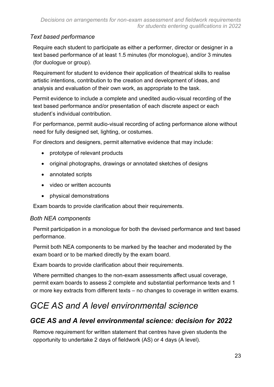#### *Text based performance*

Require each student to participate as either a performer, director or designer in a text based performance of at least 1.5 minutes (for monologue), and/or 3 minutes (for duologue or group).

Requirement for student to evidence their application of theatrical skills to realise artistic intentions, contribution to the creation and development of ideas, and analysis and evaluation of their own work, as appropriate to the task.

Permit evidence to include a complete and unedited audio-visual recording of the text based performance and/or presentation of each discrete aspect or each student's individual contribution.

For performance, permit audio-visual recording of acting performance alone without need for fully designed set, lighting, or costumes.

For directors and designers, permit alternative evidence that may include:

- prototype of relevant products
- original photographs, drawings or annotated sketches of designs
- annotated scripts
- video or written accounts
- physical demonstrations

Exam boards to provide clarification about their requirements.

#### *Both NEA components*

Permit participation in a monologue for both the devised performance and text based performance.

Permit both NEA components to be marked by the teacher and moderated by the exam board or to be marked directly by the exam board.

Exam boards to provide clarification about their requirements.

Where permitted changes to the non-exam assessments affect usual coverage, permit exam boards to assess 2 complete and substantial performance texts and 1 or more key extracts from different texts – no changes to coverage in written exams.

# *GCE AS and A level environmental science*

## *GCE AS and A level environmental science: decision for 2022*

Remove requirement for written statement that centres have given students the opportunity to undertake 2 days of fieldwork (AS) or 4 days (A level).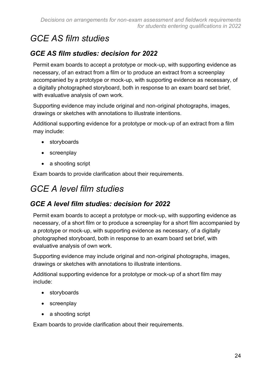# *GCE AS film studies*

## *GCE AS film studies: decision for 2022*

Permit exam boards to accept a prototype or mock-up, with supporting evidence as necessary, of an extract from a film or to produce an extract from a screenplay accompanied by a prototype or mock-up, with supporting evidence as necessary, of a digitally photographed storyboard, both in response to an exam board set brief, with evaluative analysis of own work.

Supporting evidence may include original and non-original photographs, images, drawings or sketches with annotations to illustrate intentions.

Additional supporting evidence for a prototype or mock-up of an extract from a film may include:

- storyboards
- screenplay
- a shooting script

Exam boards to provide clarification about their requirements.

# *GCE A level film studies*

## *GCE A level film studies: decision for 2022*

Permit exam boards to accept a prototype or mock-up, with supporting evidence as necessary, of a short film or to produce a screenplay for a short film accompanied by a prototype or mock-up, with supporting evidence as necessary, of a digitally photographed storyboard, both in response to an exam board set brief, with evaluative analysis of own work.

Supporting evidence may include original and non-original photographs, images, drawings or sketches with annotations to illustrate intentions.

Additional supporting evidence for a prototype or mock-up of a short film may include:

- storyboards
- screenplay
- a shooting script

Exam boards to provide clarification about their requirements.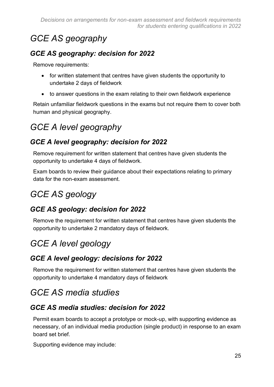# *GCE AS geography*

## *GCE AS geography: decision for 2022*

Remove requirements:

- for written statement that centres have given students the opportunity to undertake 2 days of fieldwork
- to answer questions in the exam relating to their own fieldwork experience

Retain unfamiliar fieldwork questions in the exams but not require them to cover both human and physical geography.

# *GCE A level geography*

## *GCE A level geography: decision for 2022*

Remove requirement for written statement that centres have given students the opportunity to undertake 4 days of fieldwork.

Exam boards to review their guidance about their expectations relating to primary data for the non-exam assessment.

# *GCE AS geology*

# *GCE AS geology: decision for 2022*

Remove the requirement for written statement that centres have given students the opportunity to undertake 2 mandatory days of fieldwork.

# *GCE A level geology*

## *GCE A level geology: decisions for 2022*

Remove the requirement for written statement that centres have given students the opportunity to undertake 4 mandatory days of fieldwork

# *GCE AS media studies*

## *GCE AS media studies: decision for 2022*

Permit exam boards to accept a prototype or mock-up, with supporting evidence as necessary, of an individual media production (single product) in response to an exam board set brief.

Supporting evidence may include: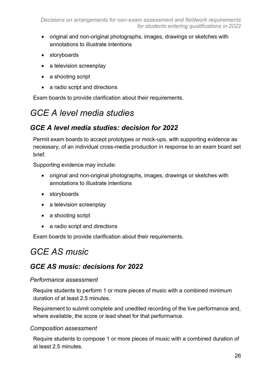- original and non-original photographs, images, drawings or sketches with annotations to illustrate intentions
- storyboards
- a television screenplay
- a shooting script
- a radio script and directions

Exam boards to provide clarification about their requirements.

# *GCE A level media studies*

## *GCE A level media studies: decision for 2022*

Permit exam boards to accept prototypes or mock-ups, with supporting evidence as necessary, of an individual cross-media production in response to an exam board set brief.

Supporting evidence may include:

- original and non-original photographs, images, drawings or sketches with annotations to illustrate intentions
- storyboards
- a television screenplay
- a shooting script
- a radio script and directions

Exam boards to provide clarification about their requirements.

# *GCE AS music*

## *GCE AS music: decisions for 2022*

#### *Performance assessment*

Require students to perform 1 or more pieces of music with a combined minimum duration of at least 2.5 minutes.

Requirement to submit complete and unedited recording of the live performance and, where available, the score or lead sheet for that performance.

#### *Composition assessment*

Require students to compose 1 or more pieces of music with a combined duration of at least 2.5 minutes.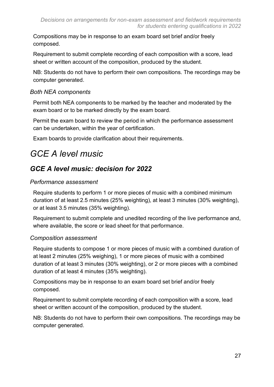Compositions may be in response to an exam board set brief and/or freely composed.

Requirement to submit complete recording of each composition with a score, lead sheet or written account of the composition, produced by the student.

NB: Students do not have to perform their own compositions. The recordings may be computer generated.

#### *Both NEA components*

Permit both NEA components to be marked by the teacher and moderated by the exam board or to be marked directly by the exam board.

Permit the exam board to review the period in which the performance assessment can be undertaken, within the year of certification.

Exam boards to provide clarification about their requirements.

# *GCE A level music*

## *GCE A level music: decision for 2022*

#### *Performance assessment*

Require students to perform 1 or more pieces of music with a combined minimum duration of at least 2.5 minutes (25% weighting), at least 3 minutes (30% weighting), or at least 3.5 minutes (35% weighting).

Requirement to submit complete and unedited recording of the live performance and, where available, the score or lead sheet for that performance.

#### *Composition assessment*

Require students to compose 1 or more pieces of music with a combined duration of at least 2 minutes (25% weighing), 1 or more pieces of music with a combined duration of at least 3 minutes (30% weighting), or 2 or more pieces with a combined duration of at least 4 minutes (35% weighting).

Compositions may be in response to an exam board set brief and/or freely composed.

Requirement to submit complete recording of each composition with a score, lead sheet or written account of the composition, produced by the student.

NB: Students do not have to perform their own compositions. The recordings may be computer generated.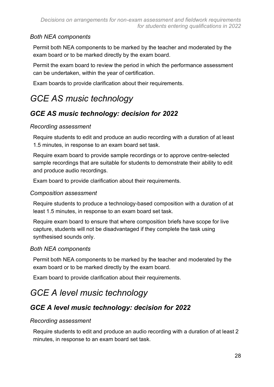#### *Both NEA components*

Permit both NEA components to be marked by the teacher and moderated by the exam board or to be marked directly by the exam board.

Permit the exam board to review the period in which the performance assessment can be undertaken, within the year of certification.

Exam boards to provide clarification about their requirements.

# *GCE AS music technology*

## *GCE AS music technology: decision for 2022*

#### *Recording assessment*

Require students to edit and produce an audio recording with a duration of at least 1.5 minutes, in response to an exam board set task.

Require exam board to provide sample recordings or to approve centre-selected sample recordings that are suitable for students to demonstrate their ability to edit and produce audio recordings.

Exam board to provide clarification about their requirements.

#### *Composition assessment*

Require students to produce a technology-based composition with a duration of at least 1.5 minutes, in response to an exam board set task.

Require exam board to ensure that where composition briefs have scope for live capture, students will not be disadvantaged if they complete the task using synthesised sounds only.

#### *Both NEA components*

Permit both NEA components to be marked by the teacher and moderated by the exam board or to be marked directly by the exam board.

Exam board to provide clarification about their requirements.

# *GCE A level music technology*

## *GCE A level music technology: decision for 2022*

#### *Recording assessment*

Require students to edit and produce an audio recording with a duration of at least 2 minutes, in response to an exam board set task.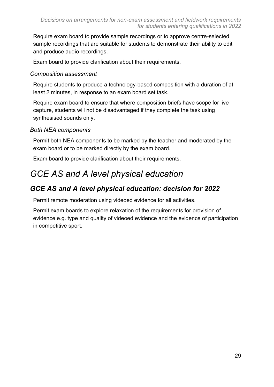Require exam board to provide sample recordings or to approve centre-selected sample recordings that are suitable for students to demonstrate their ability to edit and produce audio recordings.

Exam board to provide clarification about their requirements.

#### *Composition assessment*

Require students to produce a technology-based composition with a duration of at least 2 minutes, in response to an exam board set task.

Require exam board to ensure that where composition briefs have scope for live capture, students will not be disadvantaged if they complete the task using synthesised sounds only.

#### *Both NEA components*

Permit both NEA components to be marked by the teacher and moderated by the exam board or to be marked directly by the exam board.

Exam board to provide clarification about their requirements.

# *GCE AS and A level physical education*

#### *GCE AS and A level physical education: decision for 2022*

Permit remote moderation using videoed evidence for all activities.

Permit exam boards to explore relaxation of the requirements for provision of evidence e.g. type and quality of videoed evidence and the evidence of participation in competitive sport.